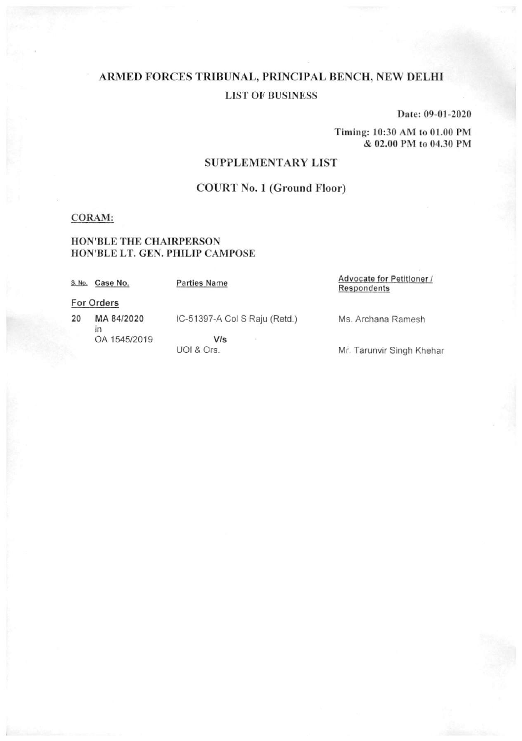Date: 09-01-2020

Timing: 10:30 AM to 01.00 PM & 02.00 PM to 04.30 PM

## **SUPPLEMENTARY LIST**

## **COURT No. 1 (Ground Floor)**

### **CORAM:**

### HON'BLE THE CHAIRPERSON HON'BLE LT. GEN. PHILIP CAMPOSE

| S. No. | Case No.   | <b>Parties Name</b>           | Advocate for Petitioner /<br>Respondents |
|--------|------------|-------------------------------|------------------------------------------|
|        | For Orders |                               |                                          |
| 20     | MA 84/2020 | IC-51397-A Col S Raju (Retd.) | Ms. Archana Ramesh                       |

OA 1545/2019

 $V/s$ UOI & Ors.

Mr. Tarunvir Singh Khehar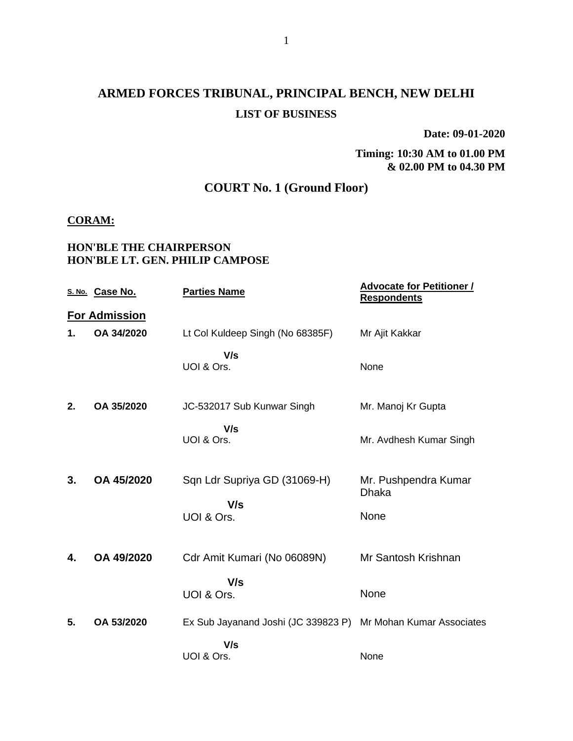**Date: 09-01-2020**

**Timing: 10:30 AM to 01.00 PM & 02.00 PM to 04.30 PM**

## **COURT No. 1 (Ground Floor)**

### **CORAM:**

### **HON'BLE THE CHAIRPERSON HON'BLE LT. GEN. PHILIP CAMPOSE**

|    | S. No. Case No.      | <b>Parties Name</b>                                           | <b>Advocate for Petitioner /</b><br><b>Respondents</b> |
|----|----------------------|---------------------------------------------------------------|--------------------------------------------------------|
|    | <b>For Admission</b> |                                                               |                                                        |
| 1. | OA 34/2020           | Lt Col Kuldeep Singh (No 68385F)                              | Mr Ajit Kakkar                                         |
|    |                      | V/s<br>UOI & Ors.                                             | None                                                   |
| 2. | OA 35/2020           | JC-532017 Sub Kunwar Singh                                    | Mr. Manoj Kr Gupta                                     |
|    |                      | V/s<br>UOI & Ors.                                             | Mr. Avdhesh Kumar Singh                                |
| 3. | OA 45/2020           | Sqn Ldr Supriya GD (31069-H)<br>V/s                           | Mr. Pushpendra Kumar<br><b>Dhaka</b>                   |
|    |                      | UOI & Ors.                                                    | None                                                   |
| 4. | OA 49/2020           | Cdr Amit Kumari (No 06089N)                                   | Mr Santosh Krishnan                                    |
|    |                      | V/s<br>UOI & Ors.                                             | None                                                   |
| 5. | OA 53/2020           | Ex Sub Jayanand Joshi (JC 339823 P) Mr Mohan Kumar Associates |                                                        |
|    |                      | V/s<br>UOI & Ors.                                             | None                                                   |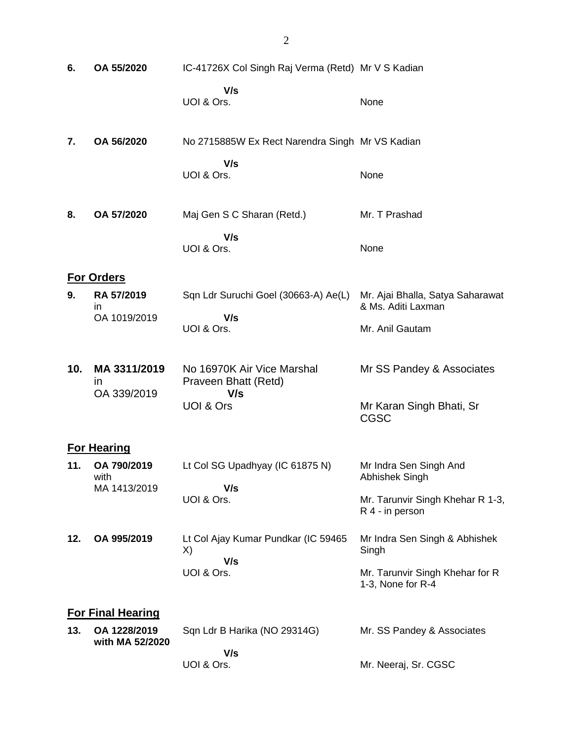| 6.  | OA 55/2020                        | IC-41726X Col Singh Raj Verma (Retd) Mr V S Kadian |                                                        |
|-----|-----------------------------------|----------------------------------------------------|--------------------------------------------------------|
|     |                                   | V/s<br>UOI & Ors.                                  | None                                                   |
| 7.  | OA 56/2020                        | No 2715885W Ex Rect Narendra Singh Mr VS Kadian    |                                                        |
|     |                                   | V/s<br>UOI & Ors.                                  | None                                                   |
| 8.  | OA 57/2020                        | Maj Gen S C Sharan (Retd.)                         | Mr. T Prashad                                          |
|     |                                   | V/s<br>UOI & Ors.                                  | None                                                   |
|     | <b>For Orders</b>                 |                                                    |                                                        |
| 9.  | RA 57/2019<br>in.<br>OA 1019/2019 | Sqn Ldr Suruchi Goel (30663-A) Ae(L)<br>V/s        | Mr. Ajai Bhalla, Satya Saharawat<br>& Ms. Aditi Laxman |
|     |                                   | UOI & Ors.                                         | Mr. Anil Gautam                                        |
| 10. | MA 3311/2019<br>in                | No 16970K Air Vice Marshal<br>Praveen Bhatt (Retd) | Mr SS Pandey & Associates                              |
|     | OA 339/2019                       | V/s<br><b>UOI &amp; Ors</b>                        | Mr Karan Singh Bhati, Sr<br><b>CGSC</b>                |
|     | <b>For Hearing</b>                |                                                    |                                                        |
| 11. | OA 790/2019<br>with               | Lt Col SG Upadhyay (IC 61875 N)                    | Mr Indra Sen Singh And<br>Abhishek Singh               |
|     | MA 1413/2019                      | V/s<br>UOI & Ors.                                  | Mr. Tarunvir Singh Khehar R 1-3,<br>R 4 - in person    |
| 12. | OA 995/2019                       | Lt Col Ajay Kumar Pundkar (IC 59465<br>X)          | Mr Indra Sen Singh & Abhishek<br>Singh                 |
|     |                                   | V/s<br>UOI & Ors.                                  | Mr. Tarunvir Singh Khehar for R<br>1-3, None for R-4   |
|     | <b>For Final Hearing</b>          |                                                    |                                                        |
| 13. | OA 1228/2019<br>with MA 52/2020   | Sqn Ldr B Harika (NO 29314G)                       | Mr. SS Pandey & Associates                             |
|     |                                   | V/s<br>UOI & Ors.                                  | Mr. Neeraj, Sr. CGSC                                   |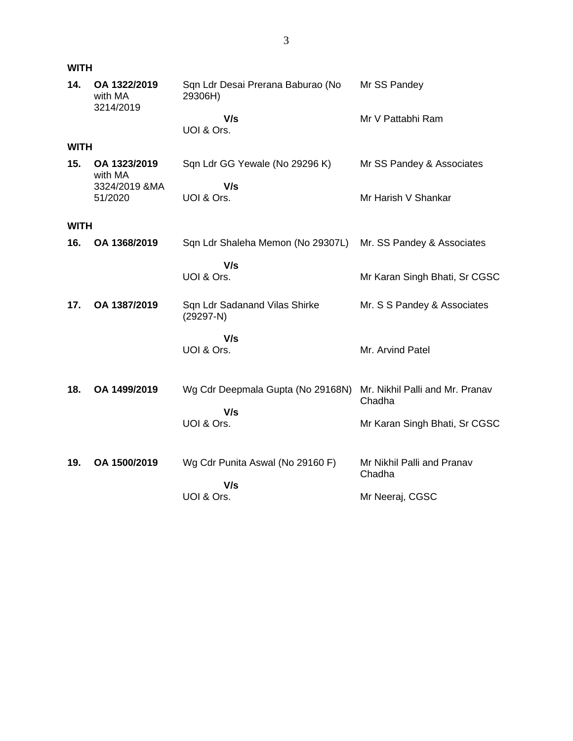| <b>WITH</b> |                                      |                                              |                                           |  |  |
|-------------|--------------------------------------|----------------------------------------------|-------------------------------------------|--|--|
| 14.         | OA 1322/2019<br>with MA<br>3214/2019 | Sqn Ldr Desai Prerana Baburao (No<br>29306H) | Mr SS Pandey                              |  |  |
|             |                                      | V/s<br>UOI & Ors.                            | Mr V Pattabhi Ram                         |  |  |
| <b>WITH</b> |                                      |                                              |                                           |  |  |
| 15.         | OA 1323/2019<br>with MA              | Sqn Ldr GG Yewale (No 29296 K)               | Mr SS Pandey & Associates                 |  |  |
|             | 3324/2019 &MA<br>51/2020             | V/s<br>UOI & Ors.                            | Mr Harish V Shankar                       |  |  |
| <b>WITH</b> |                                      |                                              |                                           |  |  |
| 16.         | OA 1368/2019                         | Sqn Ldr Shaleha Memon (No 29307L)            | Mr. SS Pandey & Associates                |  |  |
|             |                                      | V/s<br>UOI & Ors.                            | Mr Karan Singh Bhati, Sr CGSC             |  |  |
| 17.         | OA 1387/2019                         | Sqn Ldr Sadanand Vilas Shirke<br>$(29297-N)$ | Mr. S S Pandey & Associates               |  |  |
|             |                                      | V/s<br>UOI & Ors.                            | Mr. Arvind Patel                          |  |  |
| 18.         | OA 1499/2019                         | Wg Cdr Deepmala Gupta (No 29168N)            | Mr. Nikhil Palli and Mr. Pranav<br>Chadha |  |  |
|             |                                      | V/s<br>UOI & Ors.                            | Mr Karan Singh Bhati, Sr CGSC             |  |  |
| 19.         | OA 1500/2019                         | Wg Cdr Punita Aswal (No 29160 F)<br>V/s      | Mr Nikhil Palli and Pranav<br>Chadha      |  |  |
|             |                                      | UOI & Ors.                                   | Mr Neeraj, CGSC                           |  |  |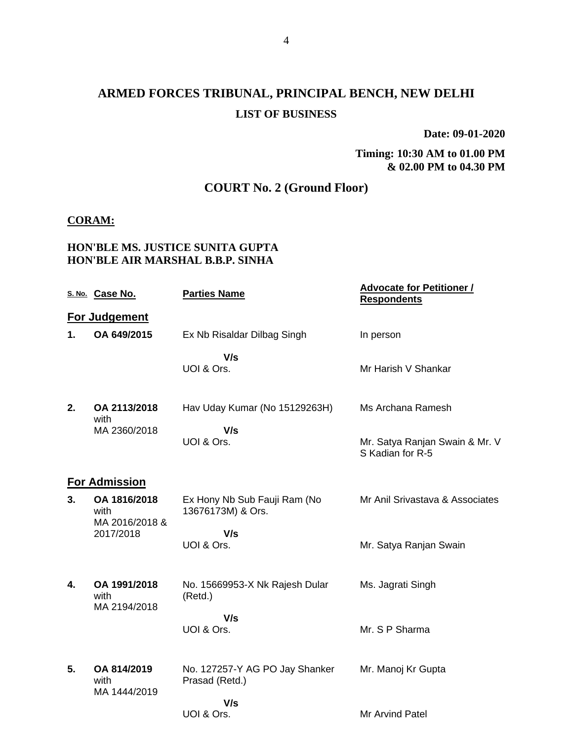**Date: 09-01-2020**

**Timing: 10:30 AM to 01.00 PM & 02.00 PM to 04.30 PM**

## **COURT No. 2 (Ground Floor)**

### **CORAM:**

### **HON'BLE MS. JUSTICE SUNITA GUPTA HON'BLE AIR MARSHAL B.B.P. SINHA**

|    | S. No. Case No.                      | <b>Parties Name</b>                               | <b>Advocate for Petitioner /</b><br><b>Respondents</b> |
|----|--------------------------------------|---------------------------------------------------|--------------------------------------------------------|
|    | <b>For Judgement</b>                 |                                                   |                                                        |
| 1. | OA 649/2015                          | Ex Nb Risaldar Dilbag Singh                       | In person                                              |
|    |                                      | V/s<br>UOI & Ors.                                 | Mr Harish V Shankar                                    |
| 2. | OA 2113/2018<br>with                 | Hav Uday Kumar (No 15129263H)                     | Ms Archana Ramesh                                      |
|    | MA 2360/2018                         | V/s<br>UOI & Ors.                                 | Mr. Satya Ranjan Swain & Mr. V<br>S Kadian for R-5     |
|    | <b>For Admission</b>                 |                                                   |                                                        |
| 3. | OA 1816/2018<br>with                 | Ex Hony Nb Sub Fauji Ram (No<br>13676173M) & Ors. | Mr Anil Srivastava & Associates                        |
|    | MA 2016/2018 &<br>2017/2018          | V/s<br>UOI & Ors.                                 | Mr. Satya Ranjan Swain                                 |
| 4. | OA 1991/2018<br>with<br>MA 2194/2018 | No. 15669953-X Nk Rajesh Dular<br>(Retd.)         | Ms. Jagrati Singh                                      |
|    |                                      | V/s<br>UOI & Ors.                                 | Mr. S P Sharma                                         |
| 5. | OA 814/2019<br>with<br>MA 1444/2019  | No. 127257-Y AG PO Jay Shanker<br>Prasad (Retd.)  | Mr. Manoj Kr Gupta                                     |
|    |                                      | V/s<br>UOI & Ors.                                 | Mr Arvind Patel                                        |
|    |                                      |                                                   |                                                        |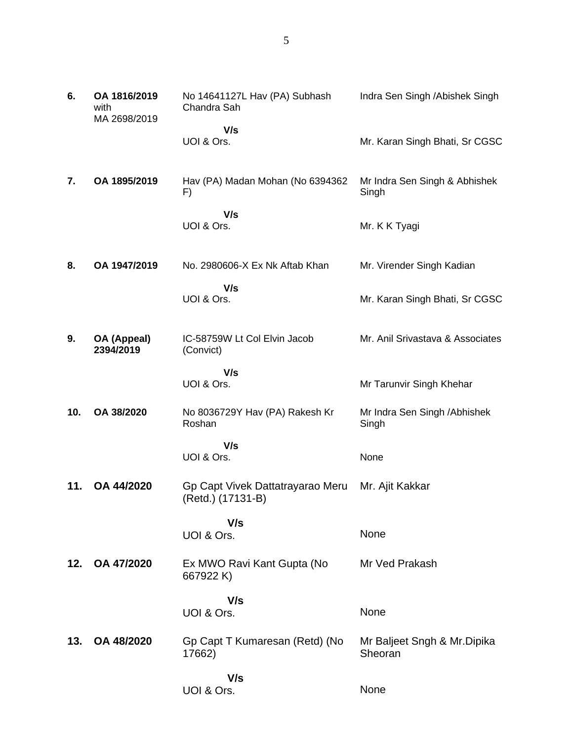| 6.  | OA 1816/2019<br>with<br>MA 2698/2019 | No 14641127L Hav (PA) Subhash<br>Chandra Sah          | Indra Sen Singh / Abishek Singh        |
|-----|--------------------------------------|-------------------------------------------------------|----------------------------------------|
|     |                                      | V/s<br>UOI & Ors.                                     | Mr. Karan Singh Bhati, Sr CGSC         |
| 7.  | OA 1895/2019                         | Hav (PA) Madan Mohan (No 6394362<br>F)                | Mr Indra Sen Singh & Abhishek<br>Singh |
|     |                                      | V/s<br>UOI & Ors.                                     | Mr. K K Tyagi                          |
| 8.  | OA 1947/2019                         | No. 2980606-X Ex Nk Aftab Khan                        | Mr. Virender Singh Kadian              |
|     |                                      | V/s<br>UOI & Ors.                                     | Mr. Karan Singh Bhati, Sr CGSC         |
| 9.  | OA (Appeal)<br>2394/2019             | IC-58759W Lt Col Elvin Jacob<br>(Convict)             | Mr. Anil Srivastava & Associates       |
|     |                                      | V/s<br>UOI & Ors.                                     | Mr Tarunvir Singh Khehar               |
| 10. | OA 38/2020                           | No 8036729Y Hav (PA) Rakesh Kr<br>Roshan              | Mr Indra Sen Singh / Abhishek<br>Singh |
|     |                                      | V/s<br>UOI & Ors.                                     | None                                   |
| 11. | OA 44/2020                           | Gp Capt Vivek Dattatrayarao Meru<br>(Retd.) (17131-B) | Mr. Ajit Kakkar                        |
|     |                                      | V/s<br>UOI & Ors.                                     | None                                   |
| 12. | OA 47/2020                           | Ex MWO Ravi Kant Gupta (No<br>667922K)                | Mr Ved Prakash                         |
|     |                                      | V/s<br>UOI & Ors.                                     | None                                   |
| 13. | OA 48/2020                           | Gp Capt T Kumaresan (Retd) (No<br>17662)              | Mr Baljeet Sngh & Mr.Dipika<br>Sheoran |
|     |                                      | V/s<br>UOI & Ors.                                     | None                                   |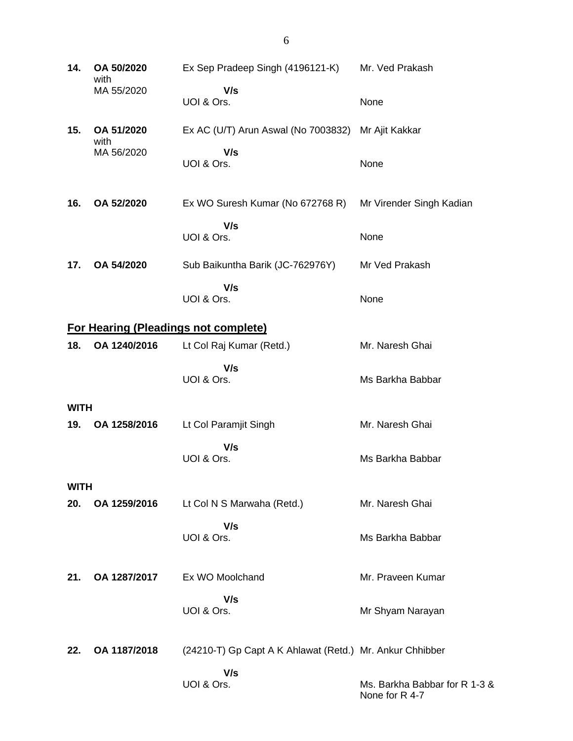| 14.         | OA 50/2020<br>with | Ex Sep Pradeep Singh (4196121-K)                         | Mr. Ved Prakash                                 |
|-------------|--------------------|----------------------------------------------------------|-------------------------------------------------|
|             | MA 55/2020         | V/s<br>UOI & Ors.                                        | None                                            |
| 15.         | OA 51/2020<br>with | Ex AC (U/T) Arun Aswal (No 7003832)                      | Mr Ajit Kakkar                                  |
|             | MA 56/2020         | V/s<br>UOI & Ors.                                        | None                                            |
| 16.         | OA 52/2020         | Ex WO Suresh Kumar (No 672768 R)                         | Mr Virender Singh Kadian                        |
|             |                    | V/s<br>UOI & Ors.                                        | None                                            |
| 17.         | OA 54/2020         | Sub Baikuntha Barik (JC-762976Y)                         | Mr Ved Prakash                                  |
|             |                    | V/s<br>UOI & Ors.                                        | None                                            |
|             |                    | <b>For Hearing (Pleadings not complete)</b>              |                                                 |
| 18.         | OA 1240/2016       | Lt Col Raj Kumar (Retd.)                                 | Mr. Naresh Ghai                                 |
|             |                    | V/s<br>UOI & Ors.                                        | Ms Barkha Babbar                                |
| <b>WITH</b> |                    |                                                          |                                                 |
| 19.         | OA 1258/2016       | Lt Col Paramjit Singh                                    | Mr. Naresh Ghai                                 |
|             |                    | V/s<br>UOI & Ors.                                        | Ms Barkha Babbar                                |
| <b>WITH</b> |                    |                                                          |                                                 |
| 20.         | OA 1259/2016       | Lt Col N S Marwaha (Retd.)                               | Mr. Naresh Ghai                                 |
|             |                    | V/s<br>UOI & Ors.                                        | Ms Barkha Babbar                                |
| 21.         | OA 1287/2017       | Ex WO Moolchand                                          | Mr. Praveen Kumar                               |
|             |                    | V/s<br>UOI & Ors.                                        | Mr Shyam Narayan                                |
| 22.         | OA 1187/2018       | (24210-T) Gp Capt A K Ahlawat (Retd.) Mr. Ankur Chhibber |                                                 |
|             |                    | V/s<br>UOI & Ors.                                        | Ms. Barkha Babbar for R 1-3 &<br>None for R 4-7 |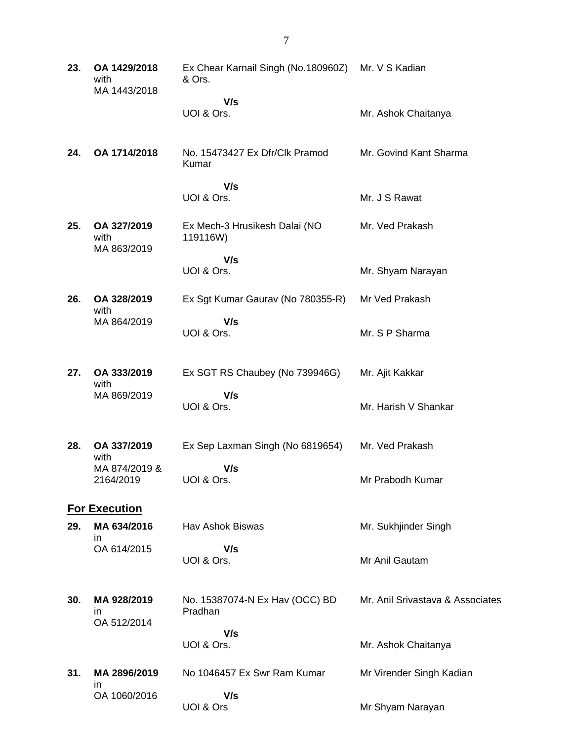| 23. | OA 1429/2018<br>with<br>MA 1443/2018 | Ex Chear Karnail Singh (No.180960Z)<br>& Ors. | Mr. V S Kadian                   |
|-----|--------------------------------------|-----------------------------------------------|----------------------------------|
|     |                                      | V/s<br>UOI & Ors.                             | Mr. Ashok Chaitanya              |
| 24. | OA 1714/2018                         | No. 15473427 Ex Dfr/Clk Pramod<br>Kumar       | Mr. Govind Kant Sharma           |
|     |                                      | V/s<br>UOI & Ors.                             | Mr. J S Rawat                    |
| 25. | OA 327/2019<br>with<br>MA 863/2019   | Ex Mech-3 Hrusikesh Dalai (NO<br>119116W)     | Mr. Ved Prakash                  |
|     |                                      | V/s<br>UOI & Ors.                             | Mr. Shyam Narayan                |
| 26. | OA 328/2019                          | Ex Sgt Kumar Gaurav (No 780355-R)             | Mr Ved Prakash                   |
|     | with<br>MA 864/2019                  | V/s<br>UOI & Ors.                             | Mr. S P Sharma                   |
| 27. | OA 333/2019<br>with                  | Ex SGT RS Chaubey (No 739946G)                | Mr. Ajit Kakkar                  |
|     | MA 869/2019                          | V/s<br>UOI & Ors.                             | Mr. Harish V Shankar             |
| 28. | OA 337/2019<br>with                  | Ex Sep Laxman Singh (No 6819654)              | Mr. Ved Prakash                  |
|     | MA 874/2019 &<br>2164/2019           | V/s<br>UOI & Ors.                             | Mr Prabodh Kumar                 |
|     | <b>For Execution</b>                 |                                               |                                  |
| 29. | MA 634/2016<br>in.                   | Hav Ashok Biswas                              | Mr. Sukhjinder Singh             |
|     | OA 614/2015                          | V/s<br>UOI & Ors.                             | Mr Anil Gautam                   |
| 30. | MA 928/2019<br>in<br>OA 512/2014     | No. 15387074-N Ex Hav (OCC) BD<br>Pradhan     | Mr. Anil Srivastava & Associates |
|     |                                      | V/s<br>UOI & Ors.                             | Mr. Ashok Chaitanya              |
| 31. | MA 2896/2019                         | No 1046457 Ex Swr Ram Kumar                   | Mr Virender Singh Kadian         |
|     | in<br>OA 1060/2016                   | V/s<br>UOI & Ors                              | Mr Shyam Narayan                 |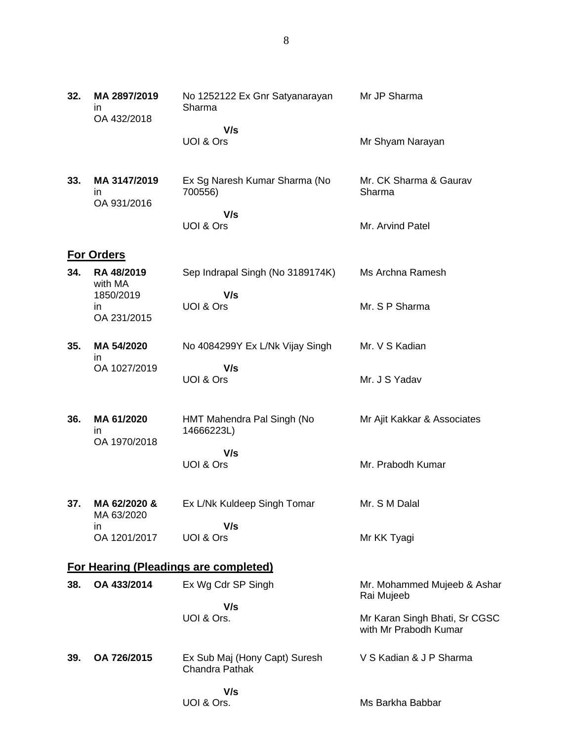| 32. | MA 2897/2019<br>ın<br>OA 432/2018           | No 1252122 Ex Gnr Satyanarayan<br>Sharma               | Mr JP Sharma                                           |
|-----|---------------------------------------------|--------------------------------------------------------|--------------------------------------------------------|
|     |                                             | V/s                                                    |                                                        |
|     |                                             | UOI & Ors                                              | Mr Shyam Narayan                                       |
| 33. | MA 3147/2019<br>$\mathsf{I}$<br>OA 931/2016 | Ex Sg Naresh Kumar Sharma (No<br>700556)               | Mr. CK Sharma & Gaurav<br>Sharma                       |
|     |                                             | V/s                                                    |                                                        |
|     |                                             | UOI & Ors                                              | Mr. Arvind Patel                                       |
|     | <b>For Orders</b>                           |                                                        |                                                        |
| 34. | RA 48/2019<br>with MA<br>1850/2019          | Sep Indrapal Singh (No 3189174K)<br>V/s                | Ms Archna Ramesh                                       |
|     | in.<br>OA 231/2015                          | UOI & Ors                                              | Mr. S P Sharma                                         |
|     |                                             |                                                        |                                                        |
| 35. | MA 54/2020<br>ın                            | No 4084299Y Ex L/Nk Vijay Singh                        | Mr. V S Kadian                                         |
|     | OA 1027/2019                                | V/s<br><b>UOI &amp; Ors</b>                            | Mr. J S Yadav                                          |
| 36. | MA 61/2020<br>in.<br>OA 1970/2018           | HMT Mahendra Pal Singh (No<br>14666223L)               | Mr Ajit Kakkar & Associates                            |
|     |                                             | V/s                                                    |                                                        |
|     |                                             | UOI & Ors                                              | Mr. Prabodh Kumar                                      |
| 37. | MA 62/2020 &<br>MA 63/2020                  | Ex L/Nk Kuldeep Singh Tomar                            | Mr. S M Dalal                                          |
|     | in.<br>OA 1201/2017                         | V/s<br>UOI & Ors                                       | Mr KK Tyagi                                            |
|     |                                             | <b>For Hearing (Pleadings are completed)</b>           |                                                        |
| 38. | OA 433/2014                                 | Ex Wg Cdr SP Singh                                     | Mr. Mohammed Mujeeb & Ashar<br>Rai Mujeeb              |
|     |                                             | V/s<br>UOI & Ors.                                      | Mr Karan Singh Bhati, Sr CGSC<br>with Mr Prabodh Kumar |
| 39. | OA 726/2015                                 | Ex Sub Maj (Hony Capt) Suresh<br><b>Chandra Pathak</b> | V S Kadian & J P Sharma                                |
|     |                                             | V/s<br>UOI & Ors.                                      | Ms Barkha Babbar                                       |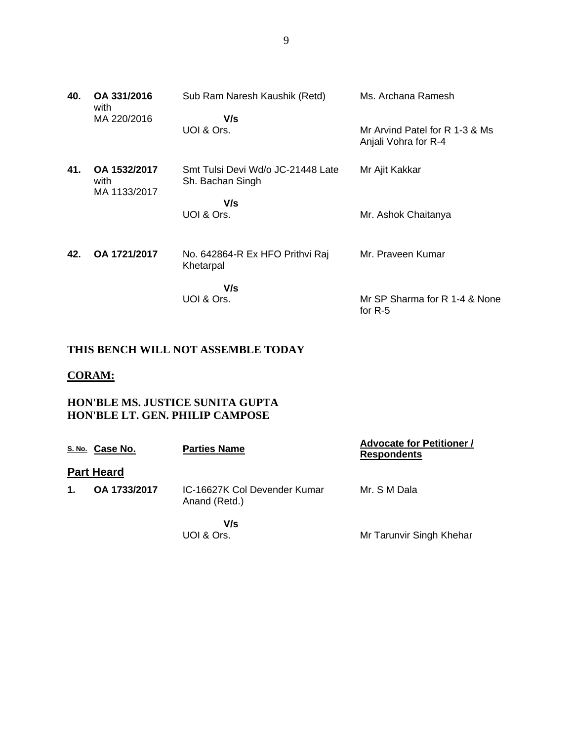| 40. | OA 331/2016<br>with                  | Sub Ram Naresh Kaushik (Retd)                         | Ms. Archana Ramesh                                     |
|-----|--------------------------------------|-------------------------------------------------------|--------------------------------------------------------|
|     | MA 220/2016                          | V/s<br>UOI & Ors.                                     | Mr Arvind Patel for R 1-3 & Ms<br>Anjali Vohra for R-4 |
| 41. | OA 1532/2017<br>with<br>MA 1133/2017 | Smt Tulsi Devi Wd/o JC-21448 Late<br>Sh. Bachan Singh | Mr Ajit Kakkar                                         |
|     |                                      | V/s<br>UOI & Ors.                                     | Mr. Ashok Chaitanya                                    |
|     |                                      |                                                       |                                                        |
| 42. | OA 1721/2017                         | No. 642864-R Ex HFO Prithvi Raj<br>Khetarpal          | Mr. Praveen Kumar                                      |
|     |                                      | V/s<br>UOI & Ors.                                     | Mr SP Sharma for R 1-4 & None                          |
|     |                                      |                                                       | for $R-5$                                              |

## **THIS BENCH WILL NOT ASSEMBLE TODAY**

### **CORAM:**

### **HON'BLE MS. JUSTICE SUNITA GUPTA HON'BLE LT. GEN. PHILIP CAMPOSE**

|               | S.No. Case No.    | <b>Parties Name</b>                           | <b>Advocate for Petitioner /</b><br><b>Respondents</b> |
|---------------|-------------------|-----------------------------------------------|--------------------------------------------------------|
|               | <b>Part Heard</b> |                                               |                                                        |
| $\mathbf 1$ . | OA 1733/2017      | IC-16627K Col Devender Kumar<br>Anand (Retd.) | Mr. S M Dala                                           |
|               |                   | V/s<br>UOI & Ors.                             | Mr Tarunvir Singh Khehar                               |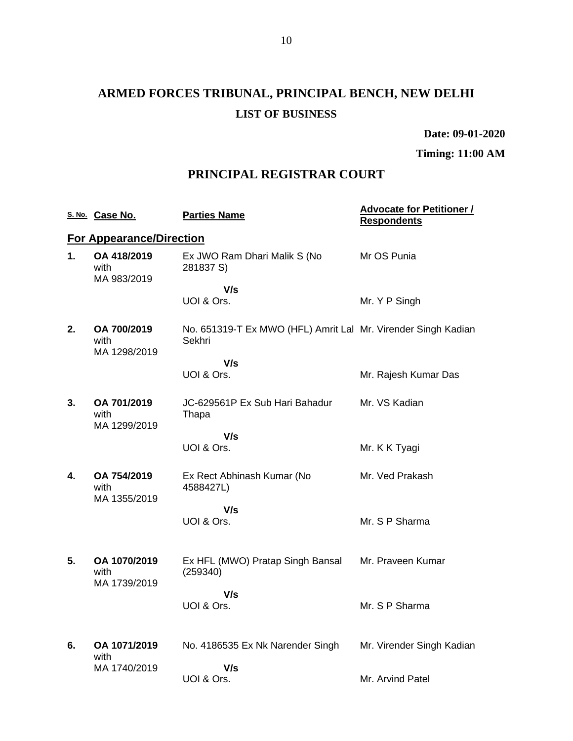**Date: 09-01-2020**

**Timing: 11:00 AM**

## **PRINCIPAL REGISTRAR COURT**

|    | S. No. Case No.                      | <b>Parties Name</b>                                                     | <b>Advocate for Petitioner /</b><br><b>Respondents</b> |
|----|--------------------------------------|-------------------------------------------------------------------------|--------------------------------------------------------|
|    | <b>For Appearance/Direction</b>      |                                                                         |                                                        |
| 1. | OA 418/2019<br>with<br>MA 983/2019   | Ex JWO Ram Dhari Malik S (No<br>281837 S)                               | Mr OS Punia                                            |
|    |                                      | V/s<br>UOI & Ors.                                                       | Mr. Y P Singh                                          |
| 2. | OA 700/2019<br>with<br>MA 1298/2019  | No. 651319-T Ex MWO (HFL) Amrit Lal Mr. Virender Singh Kadian<br>Sekhri |                                                        |
|    |                                      | V/s                                                                     |                                                        |
|    |                                      | UOI & Ors.                                                              | Mr. Rajesh Kumar Das                                   |
| 3. | OA 701/2019<br>with<br>MA 1299/2019  | JC-629561P Ex Sub Hari Bahadur<br>Thapa                                 | Mr. VS Kadian                                          |
|    |                                      | V/s                                                                     |                                                        |
|    |                                      | UOI & Ors.                                                              | Mr. K K Tyagi                                          |
| 4. | OA 754/2019<br>with<br>MA 1355/2019  | Ex Rect Abhinash Kumar (No<br>4588427L)                                 | Mr. Ved Prakash                                        |
|    |                                      | V/s<br>UOI & Ors.                                                       | Mr. S P Sharma                                         |
|    |                                      |                                                                         |                                                        |
| 5. | OA 1070/2019<br>with<br>MA 1739/2019 | Ex HFL (MWO) Pratap Singh Bansal<br>(259340)                            | Mr. Praveen Kumar                                      |
|    |                                      | V/s                                                                     |                                                        |
|    |                                      | UOI & Ors.                                                              | Mr. S P Sharma                                         |
| 6. | OA 1071/2019                         | No. 4186535 Ex Nk Narender Singh                                        | Mr. Virender Singh Kadian                              |
|    | with                                 |                                                                         |                                                        |
|    | MA 1740/2019                         | V/s                                                                     |                                                        |
|    |                                      | UOI & Ors.                                                              | Mr. Arvind Patel                                       |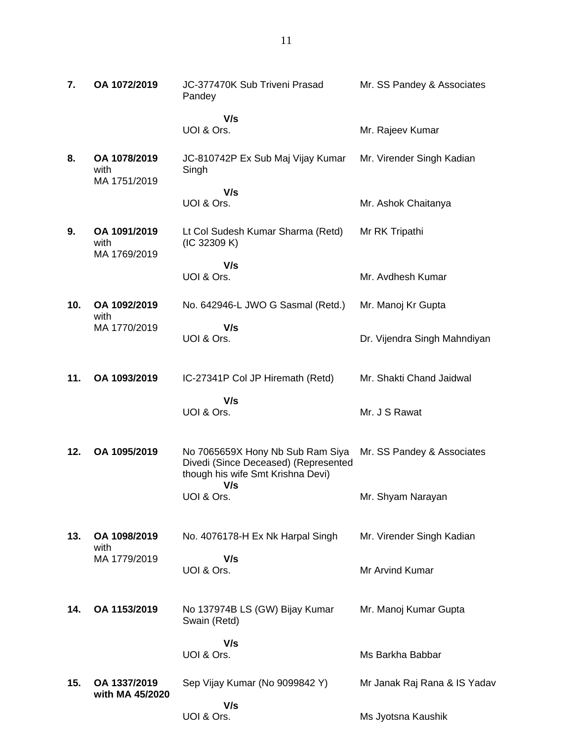| 7.  | OA 1072/2019                         | JC-377470K Sub Triveni Prasad<br>Pandey                                                                       | Mr. SS Pandey & Associates   |
|-----|--------------------------------------|---------------------------------------------------------------------------------------------------------------|------------------------------|
|     |                                      | V/s<br>UOI & Ors.                                                                                             | Mr. Rajeev Kumar             |
| 8.  | OA 1078/2019<br>with<br>MA 1751/2019 | JC-810742P Ex Sub Maj Vijay Kumar<br>Singh                                                                    | Mr. Virender Singh Kadian    |
|     |                                      | V/s<br>UOI & Ors.                                                                                             | Mr. Ashok Chaitanya          |
| 9.  | OA 1091/2019<br>with<br>MA 1769/2019 | Lt Col Sudesh Kumar Sharma (Retd)<br>(IC 32309 K)                                                             | Mr RK Tripathi               |
|     |                                      | V/s<br>UOI & Ors.                                                                                             | Mr. Avdhesh Kumar            |
| 10. | OA 1092/2019<br>with                 | No. 642946-L JWO G Sasmal (Retd.)                                                                             | Mr. Manoj Kr Gupta           |
|     | MA 1770/2019                         | V/s<br>UOI & Ors.                                                                                             | Dr. Vijendra Singh Mahndiyan |
| 11. | OA 1093/2019                         | IC-27341P Col JP Hiremath (Retd)                                                                              | Mr. Shakti Chand Jaidwal     |
|     |                                      | V/s<br>UOI & Ors.                                                                                             | Mr. J S Rawat                |
| 12. | OA 1095/2019                         | No 7065659X Hony Nb Sub Ram Siya<br>Divedi (Since Deceased) (Represented<br>though his wife Smt Krishna Devi) | Mr. SS Pandey & Associates   |
|     |                                      | V/s<br>UOI & Ors.                                                                                             | Mr. Shyam Narayan            |
| 13. | OA 1098/2019<br>with                 | No. 4076178-H Ex Nk Harpal Singh                                                                              | Mr. Virender Singh Kadian    |
|     | MA 1779/2019                         | V/s<br>UOI & Ors.                                                                                             | Mr Arvind Kumar              |
| 14. | OA 1153/2019                         | No 137974B LS (GW) Bijay Kumar<br>Swain (Retd)                                                                | Mr. Manoj Kumar Gupta        |
|     |                                      | V/s<br>UOI & Ors.                                                                                             | Ms Barkha Babbar             |
| 15. | OA 1337/2019<br>with MA 45/2020      | Sep Vijay Kumar (No 9099842 Y)                                                                                | Mr Janak Raj Rana & IS Yadav |

 **V/s**

Ms Jyotsna Kaushik

UOI & Ors.

11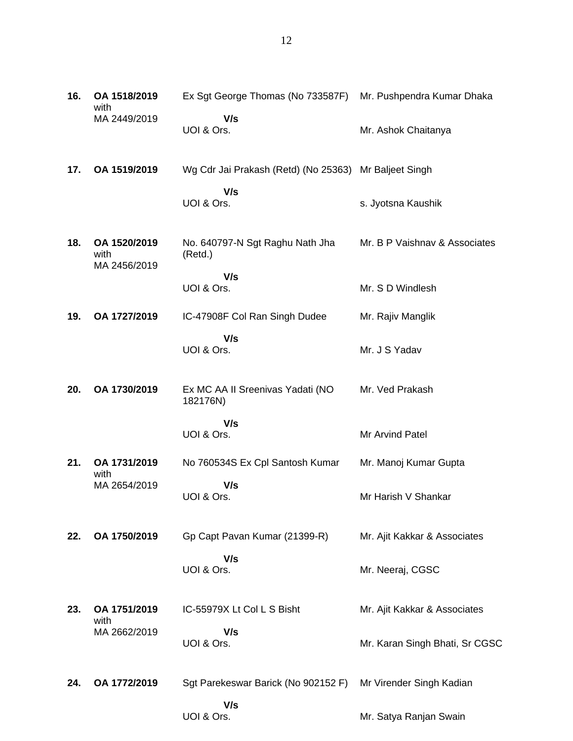| 16. | OA 1518/2019<br>with                 | Ex Sgt George Thomas (No 733587F)                     | Mr. Pushpendra Kumar Dhaka     |
|-----|--------------------------------------|-------------------------------------------------------|--------------------------------|
|     | MA 2449/2019                         | V/s<br>UOI & Ors.                                     | Mr. Ashok Chaitanya            |
| 17. | OA 1519/2019                         | Wg Cdr Jai Prakash (Retd) (No 25363) Mr Baljeet Singh |                                |
|     |                                      | V/s<br>UOI & Ors.                                     | s. Jyotsna Kaushik             |
| 18. | OA 1520/2019<br>with<br>MA 2456/2019 | No. 640797-N Sgt Raghu Nath Jha<br>(Retd.)            | Mr. B P Vaishnav & Associates  |
|     |                                      | V/s<br>UOI & Ors.                                     | Mr. S D Windlesh               |
| 19. | OA 1727/2019                         | IC-47908F Col Ran Singh Dudee                         | Mr. Rajiv Manglik              |
|     |                                      | V/s<br>UOI & Ors.                                     | Mr. J S Yadav                  |
| 20. | OA 1730/2019                         | Ex MC AA II Sreenivas Yadati (NO<br>182176N)          | Mr. Ved Prakash                |
|     |                                      | V/s<br>UOI & Ors.                                     | Mr Arvind Patel                |
| 21. | OA 1731/2019                         | No 760534S Ex Cpl Santosh Kumar                       | Mr. Manoj Kumar Gupta          |
|     | with<br>MA 2654/2019                 | V/s<br>UOI & Ors.                                     | Mr Harish V Shankar            |
| 22. | OA 1750/2019                         | Gp Capt Pavan Kumar (21399-R)                         | Mr. Ajit Kakkar & Associates   |
|     |                                      | V/s<br>UOI & Ors.                                     | Mr. Neeraj, CGSC               |
| 23. | OA 1751/2019<br>with                 | IC-55979X Lt Col L S Bisht                            | Mr. Ajit Kakkar & Associates   |
|     | MA 2662/2019                         | V/s<br>UOI & Ors.                                     | Mr. Karan Singh Bhati, Sr CGSC |
| 24. | OA 1772/2019                         | Sgt Parekeswar Barick (No 902152 F)                   | Mr Virender Singh Kadian       |
|     |                                      | V/s<br>UOI & Ors.                                     | Mr. Satya Ranjan Swain         |